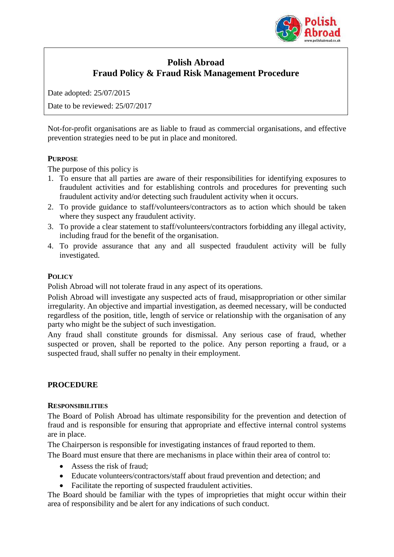

# **Polish Abroad Fraud Policy & Fraud Risk Management Procedure**

Date adopted: 25/07/2015

Date to be reviewed: 25/07/2017

Not-for-profit organisations are as liable to fraud as commercial organisations, and effective prevention strategies need to be put in place and monitored.

### **PURPOSE**

The purpose of this policy is

- 1. To ensure that all parties are aware of their responsibilities for identifying exposures to fraudulent activities and for establishing controls and procedures for preventing such fraudulent activity and/or detecting such fraudulent activity when it occurs.
- 2. To provide guidance to staff/volunteers/contractors as to action which should be taken where they suspect any fraudulent activity.
- 3. To provide a clear statement to staff/volunteers/contractors forbidding any illegal activity, including fraud for the benefit of the organisation.
- 4. To provide assurance that any and all suspected fraudulent activity will be fully investigated.

## **POLICY**

Polish Abroad will not tolerate fraud in any aspect of its operations.

Polish Abroad will investigate any suspected acts of fraud, misappropriation or other similar irregularity. An objective and impartial investigation, as deemed necessary, will be conducted regardless of the position, title, length of service or relationship with the organisation of any party who might be the subject of such investigation.

Any fraud shall constitute grounds for dismissal. Any serious case of fraud, whether suspected or proven, shall be reported to the police. Any person reporting a fraud, or a suspected fraud, shall suffer no penalty in their employment.

# **PROCEDURE**

#### **RESPONSIBILITIES**

The Board of Polish Abroad has ultimate responsibility for the prevention and detection of fraud and is responsible for ensuring that appropriate and effective internal control systems are in place.

The Chairperson is responsible for investigating instances of fraud reported to them.

The Board must ensure that there are mechanisms in place within their area of control to:

- Assess the risk of fraud;
- Educate volunteers/contractors/staff about fraud prevention and detection; and
- Facilitate the reporting of suspected fraudulent activities.

The Board should be familiar with the types of improprieties that might occur within their area of responsibility and be alert for any indications of such conduct.